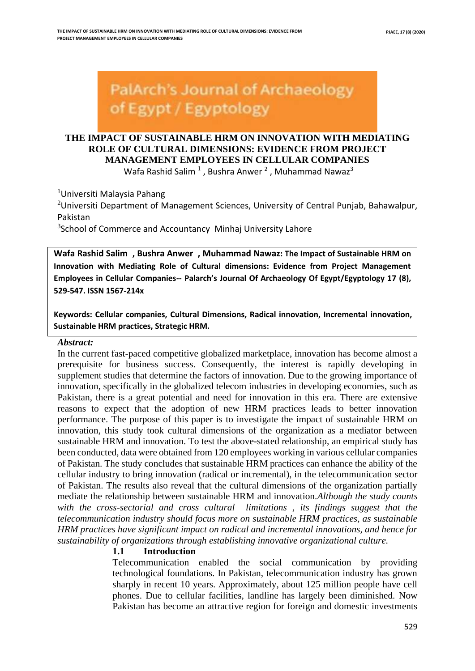

# **THE IMPACT OF SUSTAINABLE HRM ON INNOVATION WITH MEDIATING ROLE OF CULTURAL DIMENSIONS: EVIDENCE FROM PROJECT MANAGEMENT EMPLOYEES IN CELLULAR COMPANIES**

Wafa Rashid Salim  $^1$  , Bushra Anwer  $^2$  , Muhammad Nawaz<sup>3</sup>

<sup>1</sup>Universiti Malaysia Pahang

<sup>2</sup>Universiti Department of Management Sciences, University of Central Punjab, Bahawalpur, Pakistan

 $3$ School of Commerce and Accountancy Minhaj University Lahore

**Wafa Rashid Salim , Bushra Anwer , Muhammad Nawaz: The Impact of Sustainable HRM on Innovation with Mediating Role of Cultural dimensions: Evidence from Project Management Employees in Cellular Companies-- Palarch's Journal Of Archaeology Of Egypt/Egyptology 17 (8), 529-547. ISSN 1567-214x**

**Keywords: Cellular companies, Cultural Dimensions, Radical innovation, Incremental innovation, Sustainable HRM practices, Strategic HRM.**

#### *Abstract:*

In the current fast-paced competitive globalized marketplace, innovation has become almost a prerequisite for business success. Consequently, the interest is rapidly developing in supplement studies that determine the factors of innovation. Due to the growing importance of innovation, specifically in the globalized telecom industries in developing economies, such as Pakistan, there is a great potential and need for innovation in this era. There are extensive reasons to expect that the adoption of new HRM practices leads to better innovation performance. The purpose of this paper is to investigate the impact of sustainable HRM on innovation, this study took cultural dimensions of the organization as a mediator between sustainable HRM and innovation. To test the above-stated relationship, an empirical study has been conducted, data were obtained from 120 employees working in various cellular companies of Pakistan. The study concludes that sustainable HRM practices can enhance the ability of the cellular industry to bring innovation (radical or incremental), in the telecommunication sector of Pakistan. The results also reveal that the cultural dimensions of the organization partially mediate the relationship between sustainable HRM and innovation.*Although the study counts with the cross-sectorial and cross cultural limitations , its findings suggest that the telecommunication industry should focus more on sustainable HRM practices, as sustainable HRM practices have significant impact on radical and incremental innovations, and hence for sustainability of organizations through establishing innovative organizational culture.*

# **1.1 Introduction**

Telecommunication enabled the social communication by providing technological foundations. In Pakistan, telecommunication industry has grown sharply in recent 10 years. Approximately, about 125 million people have cell phones. Due to cellular facilities, landline has largely been diminished. Now Pakistan has become an attractive region for foreign and domestic investments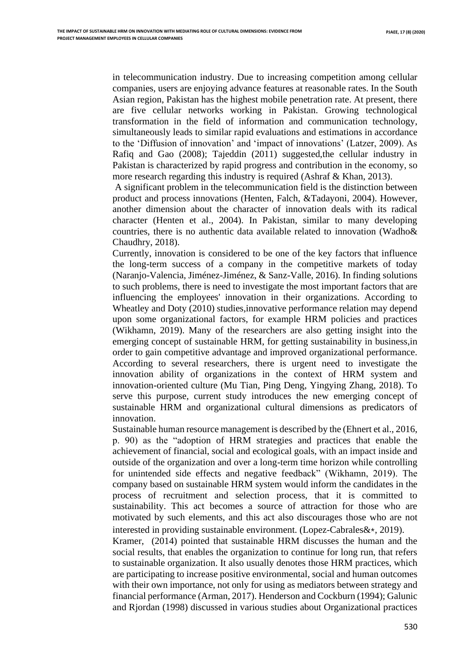in telecommunication industry. Due to increasing competition among cellular companies, users are enjoying advance features at reasonable rates. In the South Asian region, Pakistan has the highest mobile penetration rate. At present, there are five cellular networks working in Pakistan. Growing technological transformation in the field of information and communication technology, simultaneously leads to similar rapid evaluations and estimations in accordance to the 'Diffusion of innovation' and 'impact of innovations' (Latzer, 2009). As Rafiq and Gao (2008); Tajeddin (2011) suggested,the cellular industry in Pakistan is characterized by rapid progress and contribution in the economy, so more research regarding this industry is required (Ashraf & Khan, 2013).

A significant problem in the telecommunication field is the distinction between product and process innovations (Henten, Falch, &Tadayoni, 2004). However, another dimension about the character of innovation deals with its radical character (Henten et al., 2004). In Pakistan, similar to many developing countries, there is no authentic data available related to innovation (Wadho& Chaudhry, 2018).

Currently, innovation is considered to be one of the key factors that influence the long-term success of a company in the competitive markets of today (Naranjo-Valencia, Jiménez-Jiménez, & Sanz-Valle, 2016). In finding solutions to such problems, there is need to investigate the most important factors that are influencing the employees' innovation in their organizations. According to Wheatley and Doty (2010) studies,innovative performance relation may depend upon some organizational factors, for example HRM policies and practices (Wikhamn, 2019). Many of the researchers are also getting insight into the emerging concept of sustainable HRM, for getting sustainability in business,in order to gain competitive advantage and improved organizational performance. According to several researchers, there is urgent need to investigate the innovation ability of organizations in the context of HRM system and innovation-oriented culture (Mu Tian, Ping Deng, Yingying Zhang, 2018). To serve this purpose, current study introduces the new emerging concept of sustainable HRM and organizational cultural dimensions as predicators of innovation.

Sustainable human resource management is described by the (Ehnert et al., 2016, p. 90) as the "adoption of HRM strategies and practices that enable the achievement of financial, social and ecological goals, with an impact inside and outside of the organization and over a long-term time horizon while controlling for unintended side effects and negative feedback" (Wikhamn, 2019). The company based on sustainable HRM system would inform the candidates in the process of recruitment and selection process, that it is committed to sustainability. This act becomes a source of attraction for those who are motivated by such elements, and this act also discourages those who are not interested in providing sustainable environment. (Lopez-Cabrales  $x^*$ , 2019).

Kramer, (2014) pointed that sustainable HRM discusses the human and the social results, that enables the organization to continue for long run, that refers to sustainable organization. It also usually denotes those HRM practices, which are participating to increase positive environmental, social and human outcomes with their own importance, not only for using as mediators between strategy and financial performance (Arman, 2017). Henderson and Cockburn (1994); Galunic and Rjordan (1998) discussed in various studies about Organizational practices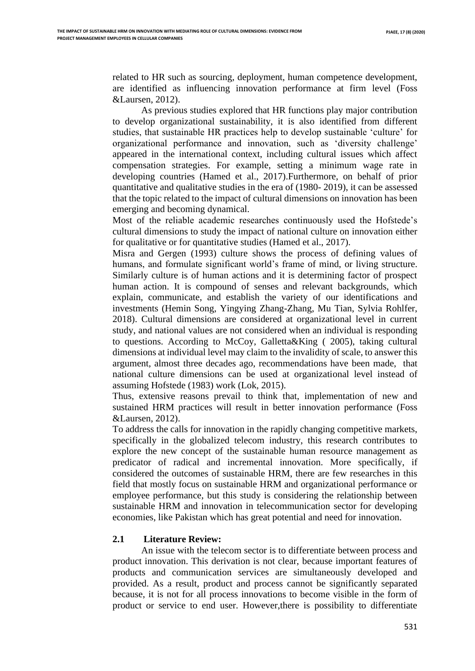related to HR such as sourcing, deployment, human competence development, are identified as influencing innovation performance at firm level (Foss &Laursen, 2012).

As previous studies explored that HR functions play major contribution to develop organizational sustainability, it is also identified from different studies, that sustainable HR practices help to develop sustainable 'culture' for organizational performance and innovation, such as 'diversity challenge' appeared in the international context, including cultural issues which affect compensation strategies. For example, setting a minimum wage rate in developing countries (Hamed et al., 2017).Furthermore, on behalf of prior quantitative and qualitative studies in the era of (1980- 2019), it can be assessed that the topic related to the impact of cultural dimensions on innovation has been emerging and becoming dynamical.

Most of the reliable academic researches continuously used the Hofstede's cultural dimensions to study the impact of national culture on innovation either for qualitative or for quantitative studies (Hamed et al., 2017).

Misra and Gergen (1993) culture shows the process of defining values of humans, and formulate significant world's frame of mind, or living structure. Similarly culture is of human actions and it is determining factor of prospect human action. It is compound of senses and relevant backgrounds, which explain, communicate, and establish the variety of our identifications and investments (Hemin Song, Yingying Zhang-Zhang, Mu Tian, Sylvia Rohlfer, 2018). Cultural dimensions are considered at organizational level in current study, and national values are not considered when an individual is responding to questions. According to McCoy, Galletta&King ( 2005), taking cultural dimensions at individual level may claim to the invalidity of scale, to answer this argument, almost three decades ago, recommendations have been made, that national culture dimensions can be used at organizational level instead of assuming Hofstede (1983) work (Lok, 2015).

Thus, extensive reasons prevail to think that, implementation of new and sustained HRM practices will result in better innovation performance (Foss &Laursen, 2012).

To address the calls for innovation in the rapidly changing competitive markets, specifically in the globalized telecom industry, this research contributes to explore the new concept of the sustainable human resource management as predicator of radical and incremental innovation. More specifically, if considered the outcomes of sustainable HRM, there are few researches in this field that mostly focus on sustainable HRM and organizational performance or employee performance, but this study is considering the relationship between sustainable HRM and innovation in telecommunication sector for developing economies, like Pakistan which has great potential and need for innovation.

#### **2.1 Literature Review:**

An issue with the telecom sector is to differentiate between process and product innovation. This derivation is not clear, because important features of products and communication services are simultaneously developed and provided. As a result, product and process cannot be significantly separated because, it is not for all process innovations to become visible in the form of product or service to end user. However,there is possibility to differentiate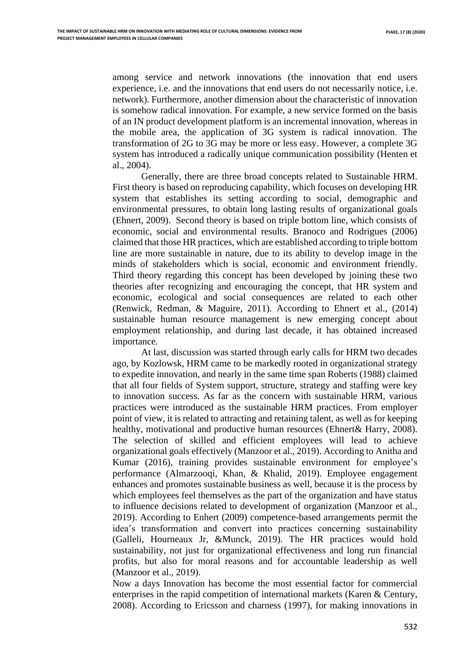among service and network innovations (the innovation that end users experience, i.e. and the innovations that end users do not necessarily notice, i.e. network). Furthermore, another dimension about the characteristic of innovation is somehow radical innovation. For example, a new service formed on the basis of an IN product development platform is an incremental innovation, whereas in the mobile area, the application of 3G system is radical innovation. The transformation of 2G to 3G may be more or less easy. However, a complete 3G system has introduced a radically unique communication possibility (Henten et al., 2004).

Generally, there are three broad concepts related to Sustainable HRM. First theory is based on reproducing capability, which focuses on developing HR system that establishes its setting according to social, demographic and environmental pressures, to obtain long lasting results of organizational goals (Ehnert, 2009). Second theory is based on triple bottom line, which consists of economic, social and environmental results. Branoco and Rodrigues (2006) claimed that those HR practices, which are established according to triple bottom line are more sustainable in nature, due to its ability to develop image in the minds of stakeholders which is social, economic and environment friendly. Third theory regarding this concept has been developed by joining these two theories after recognizing and encouraging the concept, that HR system and economic, ecological and social consequences are related to each other (Renwick, Redman, & Maguire, 2011). According to Ehnert et al., (2014) sustainable human resource management is new emerging concept about employment relationship, and during last decade, it has obtained increased importance.

At last, discussion was started through early calls for HRM two decades ago, by Kozlowsk, HRM came to be markedly rooted in organizational strategy to expedite innovation, and nearly in the same time span Roberts (1988) claimed that all four fields of System support, structure, strategy and staffing were key to innovation success. As far as the concern with sustainable HRM, various practices were introduced as the sustainable HRM practices. From employer point of view, it is related to attracting and retaining talent, as well as for keeping healthy, motivational and productive human resources (Ehnert & Harry, 2008). The selection of skilled and efficient employees will lead to achieve organizational goals effectively (Manzoor et al., 2019). According to Anitha and Kumar (2016), training provides sustainable environment for employee's performance (Almarzooqi, Khan, & Khalid, 2019). Employee engagement enhances and promotes sustainable business as well, because it is the process by which employees feel themselves as the part of the organization and have status to influence decisions related to development of organization (Manzoor et al., 2019). According to Enhert (2009) competence-based arrangements permit the idea's transformation and convert into practices concerning sustainability (Galleli, Hourneaux Jr, &Munck, 2019). The HR practices would hold sustainability, not just for organizational effectiveness and long run financial profits, but also for moral reasons and for accountable leadership as well (Manzoor et al., 2019).

Now a days Innovation has become the most essential factor for commercial enterprises in the rapid competition of international markets (Karen & Century, 2008). According to Ericsson and charness (1997), for making innovations in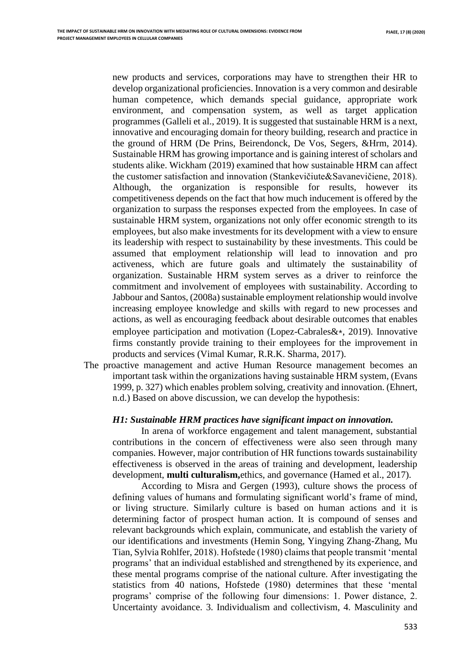new products and services, corporations may have to strengthen their HR to develop organizational proficiencies. Innovation is a very common and desirable human competence, which demands special guidance, appropriate work environment, and compensation system, as well as target application programmes (Galleli et al., 2019). It is suggested that sustainable HRM is a next, innovative and encouraging domain for theory building, research and practice in the ground of HRM (De Prins, Beirendonck, De Vos, Segers, &Hrm, 2014). Sustainable HRM has growing importance and is gaining interest of scholars and students alike. Wickham (2019) examined that how sustainable HRM can affect the customer satisfaction and innovation (Stankevičiute&Savanevičiene, 2018). Although, the organization is responsible for results, however its competitiveness depends on the fact that how much inducement is offered by the organization to surpass the responses expected from the employees. In case of sustainable HRM system, organizations not only offer economic strength to its employees, but also make investments for its development with a view to ensure its leadership with respect to sustainability by these investments. This could be assumed that employment relationship will lead to innovation and pro activeness, which are future goals and ultimately the sustainability of organization. Sustainable HRM system serves as a driver to reinforce the commitment and involvement of employees with sustainability. According to Jabbour and Santos, (2008a) sustainable employment relationship would involve increasing employee knowledge and skills with regard to new processes and actions, as well as encouraging feedback about desirable outcomes that enables employee participation and motivation (Lopez-Cabrales & $\star$ , 2019). Innovative firms constantly provide training to their employees for the improvement in products and services (Vimal Kumar, R.R.K. Sharma, 2017).

The proactive management and active Human Resource management becomes an important task within the organizations having sustainable HRM system, (Evans 1999, p. 327) which enables problem solving, creativity and innovation. (Ehnert, n.d.) Based on above discussion, we can develop the hypothesis:

#### *H1: Sustainable HRM practices have significant impact on innovation.*

In arena of workforce engagement and talent management, substantial contributions in the concern of effectiveness were also seen through many companies. However, major contribution of HR functions towards sustainability effectiveness is observed in the areas of training and development, leadership development, **multi culturalism,**ethics, and governance (Hamed et al., 2017).

According to Misra and Gergen (1993), culture shows the process of defining values of humans and formulating significant world's frame of mind, or living structure. Similarly culture is based on human actions and it is determining factor of prospect human action. It is compound of senses and relevant backgrounds which explain, communicate, and establish the variety of our identifications and investments (Hemin Song, Yingying Zhang-Zhang, Mu Tian, Sylvia Rohlfer, 2018). Hofstede (1980) claims that people transmit 'mental programs' that an individual established and strengthened by its experience, and these mental programs comprise of the national culture. After investigating the statistics from 40 nations, Hofstede (1980) determines that these 'mental programs' comprise of the following four dimensions: 1. Power distance, 2. Uncertainty avoidance. 3. Individualism and collectivism, 4. Masculinity and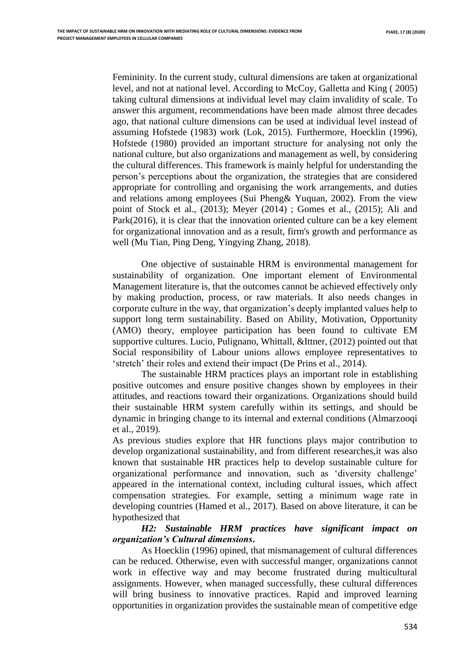Femininity. In the current study, cultural dimensions are taken at organizational level, and not at national level. According to McCoy, Galletta and King ( 2005) taking cultural dimensions at individual level may claim invalidity of scale. To answer this argument, recommendations have been made almost three decades ago, that national culture dimensions can be used at individual level instead of assuming Hofstede (1983) work (Lok, 2015). Furthermore, Hoecklin (1996), Hofstede (1980) provided an important structure for analysing not only the national culture, but also organizations and management as well, by considering the cultural differences. This framework is mainly helpful for understanding the person's perceptions about the organization, the strategies that are considered appropriate for controlling and organising the work arrangements, and duties and relations among employees (Sui Pheng& Yuquan, 2002). From the view point of Stock et al., (2013); Meyer (2014) ; Gomes et al., (2015); Ali and Park(2016), it is clear that the innovation oriented culture can be a key element for organizational innovation and as a result, firm's growth and performance as well (Mu Tian, Ping Deng, Yingying Zhang, 2018).

One objective of sustainable HRM is environmental management for sustainability of organization. One important element of Environmental Management literature is, that the outcomes cannot be achieved effectively only by making production, process, or raw materials. It also needs changes in corporate culture in the way, that organization's deeply implanted values help to support long term sustainability. Based on Ability, Motivation, Opportunity (AMO) theory, employee participation has been found to cultivate EM supportive cultures. Lucio, Pulignano, Whittall, &Ittner, (2012) pointed out that Social responsibility of Labour unions allows employee representatives to 'stretch' their roles and extend their impact (De Prins et al., 2014).

The sustainable HRM practices plays an important role in establishing positive outcomes and ensure positive changes shown by employees in their attitudes, and reactions toward their organizations. Organizations should build their sustainable HRM system carefully within its settings, and should be dynamic in bringing change to its internal and external conditions (Almarzooqi et al., 2019).

As previous studies explore that HR functions plays major contribution to develop organizational sustainability, and from different researches,it was also known that sustainable HR practices help to develop sustainable culture for organizational performance and innovation, such as 'diversity challenge' appeared in the international context, including cultural issues, which affect compensation strategies. For example, setting a minimum wage rate in developing countries (Hamed et al., 2017). Based on above literature, it can be hypothesized that

## *H2: Sustainable HRM practices have significant impact on organization's Cultural dimensions***.**

As Hoecklin (1996) opined, that mismanagement of cultural differences can be reduced. Otherwise, even with successful manger, organizations cannot work in effective way and may become frustrated during multicultural assignments. However, when managed successfully, these cultural differences will bring business to innovative practices. Rapid and improved learning opportunities in organization provides the sustainable mean of competitive edge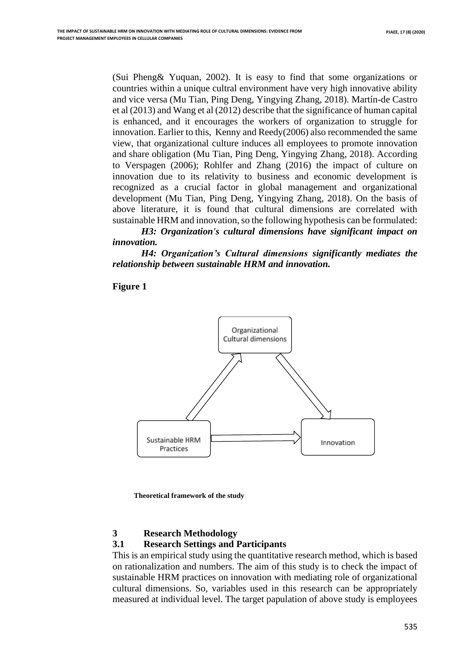(Sui Pheng& Yuquan, 2002). It is easy to find that some organizations or countries within a unique cultral environment have very high innovative ability and vice versa (Mu Tian, Ping Deng, Yingying Zhang, 2018). Martín-de Castro et al (2013) and Wang et al (2012) describe that the significance of human capital is enhanced, and it encourages the workers of organization to struggle for innovation. Earlier to this, Kenny and Reedy(2006) also recommended the same view, that organizational culture induces all employees to promote innovation and share obligation (Mu Tian, Ping Deng, Yingying Zhang, 2018). According to Verspagen (2006); Rohlfer and Zhang (2016) the impact of culture on innovation due to its relativity to business and economic development is recognized as a crucial factor in global management and organizational development (Mu Tian, Ping Deng, Yingying Zhang, 2018). On the basis of above literature, it is found that cultural dimensions are correlated with sustainable HRM and innovation, so the following hypothesis can be formulated:

*H3: Organization's cultural dimensions have significant impact on innovation.*

*H4: Organization's Cultural dimensions significantly mediates the relationship between sustainable HRM and innovation.*

#### **Figure 1**



**Theoretical framework of the study**

# **3 Research Methodology**

#### **3.1 Research Settings and Participants**

This is an empirical study using the quantitative research method, which is based on rationalization and numbers. The aim of this study is to check the impact of sustainable HRM practices on innovation with mediating role of organizational cultural dimensions. So, variables used in this research can be appropriately measured at individual level. The target papulation of above study is employees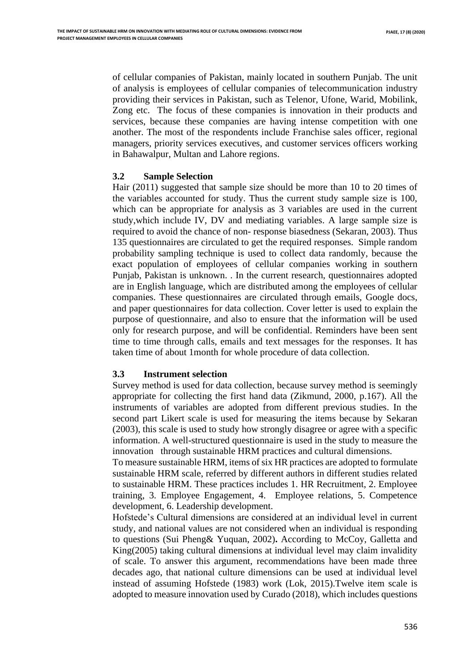of cellular companies of Pakistan, mainly located in southern Punjab. The unit of analysis is employees of cellular companies of telecommunication industry providing their services in Pakistan, such as Telenor, Ufone, Warid, Mobilink, Zong etc. The focus of these companies is innovation in their products and services, because these companies are having intense competition with one another. The most of the respondents include Franchise sales officer, regional managers, priority services executives, and customer services officers working in Bahawalpur, Multan and Lahore regions.

## **3.2 Sample Selection**

Hair (2011) suggested that sample size should be more than 10 to 20 times of the variables accounted for study. Thus the current study sample size is 100, which can be appropriate for analysis as 3 variables are used in the current study,which include IV, DV and mediating variables. A large sample size is required to avoid the chance of non- response biasedness (Sekaran, 2003). Thus 135 questionnaires are circulated to get the required responses. Simple random probability sampling technique is used to collect data randomly, because the exact population of employees of cellular companies working in southern Punjab, Pakistan is unknown. . In the current research, questionnaires adopted are in English language, which are distributed among the employees of cellular companies. These questionnaires are circulated through emails, Google docs, and paper questionnaires for data collection. Cover letter is used to explain the purpose of questionnaire, and also to ensure that the information will be used only for research purpose, and will be confidential. Reminders have been sent time to time through calls, emails and text messages for the responses. It has taken time of about 1month for whole procedure of data collection.

# **3.3 Instrument selection**

Survey method is used for data collection, because survey method is seemingly appropriate for collecting the first hand data (Zikmund, 2000, p.167). All the instruments of variables are adopted from different previous studies. In the second part Likert scale is used for measuring the items because by Sekaran (2003), this scale is used to study how strongly disagree or agree with a specific information. A well-structured questionnaire is used in the study to measure the innovation through sustainable HRM practices and cultural dimensions.

To measure sustainable HRM, items of six HR practices are adopted to formulate sustainable HRM scale, referred by different authors in different studies related to sustainable HRM. These practices includes 1. HR Recruitment, 2. Employee training, 3. Employee Engagement, 4. Employee relations, 5. Competence development, 6. Leadership development.

Hofstede's Cultural dimensions are considered at an individual level in current study, and national values are not considered when an individual is responding to questions (Sui Pheng& Yuquan, 2002)**.** According to McCoy, Galletta and King(2005) taking cultural dimensions at individual level may claim invalidity of scale. To answer this argument, recommendations have been made three decades ago, that national culture dimensions can be used at individual level instead of assuming Hofstede (1983) work (Lok, 2015).Twelve item scale is adopted to measure innovation used by Curado (2018), which includes questions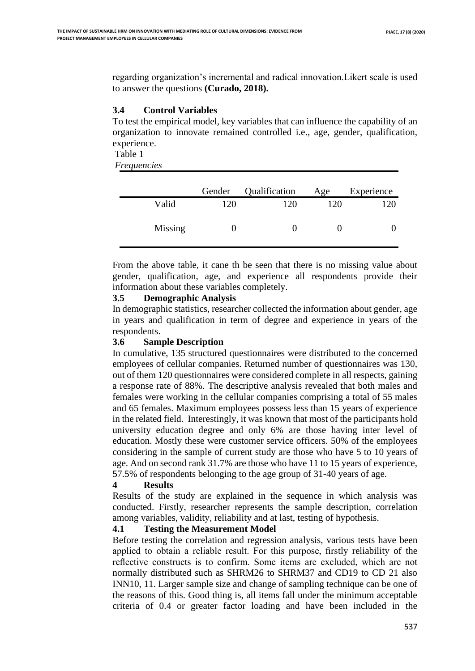regarding organization's incremental and radical innovation.Likert scale is used to answer the questions **(Curado, 2018).**

### **3.4 Control Variables**

To test the empirical model, key variables that can influence the capability of an organization to innovate remained controlled i.e., age, gender, qualification, experience.

Table 1

*Frequencies*

|         | Gender | Qualification | Age | Experience |
|---------|--------|---------------|-----|------------|
| Valid   | 120    | 120           |     |            |
| Missing |        |               |     |            |

From the above table, it cane th be seen that there is no missing value about gender, qualification, age, and experience all respondents provide their information about these variables completely.

#### **3.5 Demographic Analysis**

In demographic statistics, researcher collected the information about gender, age in years and qualification in term of degree and experience in years of the respondents.

### **3.6 Sample Description**

In cumulative, 135 structured questionnaires were distributed to the concerned employees of cellular companies. Returned number of questionnaires was 130, out of them 120 questionnaires were considered complete in all respects, gaining a response rate of 88%. The descriptive analysis revealed that both males and females were working in the cellular companies comprising a total of 55 males and 65 females. Maximum employees possess less than 15 years of experience in the related field. Interestingly, it was known that most of the participants hold university education degree and only 6% are those having inter level of education. Mostly these were customer service officers. 50% of the employees considering in the sample of current study are those who have 5 to 10 years of age. And on second rank 31.7% are those who have 11 to 15 years of experience, 57.5% of respondents belonging to the age group of 31-40 years of age.

#### **4 Results**

Results of the study are explained in the sequence in which analysis was conducted. Firstly, researcher represents the sample description, correlation among variables, validity, reliability and at last, testing of hypothesis.

# **4.1 Testing the Measurement Model**

Before testing the correlation and regression analysis, various tests have been applied to obtain a reliable result. For this purpose, firstly reliability of the reflective constructs is to confirm. Some items are excluded, which are not normally distributed such as SHRM26 to SHRM37 and CD19 to CD 21 also INN10, 11. Larger sample size and change of sampling technique can be one of the reasons of this. Good thing is, all items fall under the minimum acceptable criteria of 0.4 or greater factor loading and have been included in the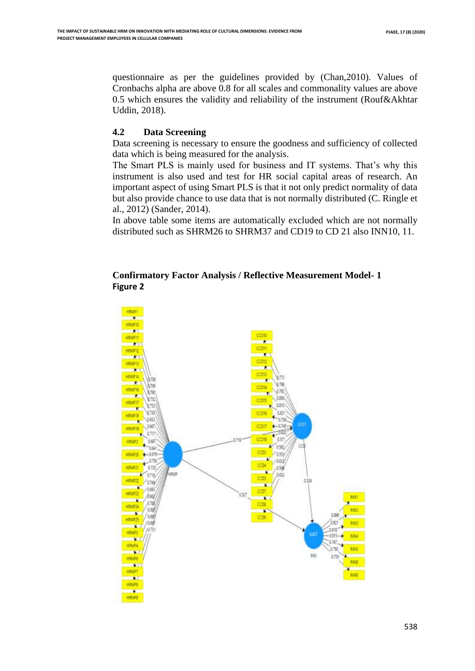questionnaire as per the guidelines provided by (Chan,2010). Values of Cronbachs alpha are above 0.8 for all scales and commonality values are above 0.5 which ensures the validity and reliability of the instrument (Rouf&Akhtar Uddin, 2018).

# **4.2 Data Screening**

Data screening is necessary to ensure the goodness and sufficiency of collected data which is being measured for the analysis.

The Smart PLS is mainly used for business and IT systems. That's why this instrument is also used and test for HR social capital areas of research. An important aspect of using Smart PLS is that it not only predict normality of data but also provide chance to use data that is not normally distributed (C. Ringle et al., 2012) (Sander, 2014).

In above table some items are automatically excluded which are not normally distributed such as SHRM26 to SHRM37 and CD19 to CD 21 also INN10, 11.

# **Confirmatory Factor Analysis / Reflective Measurement Model- 1 Figure 2**

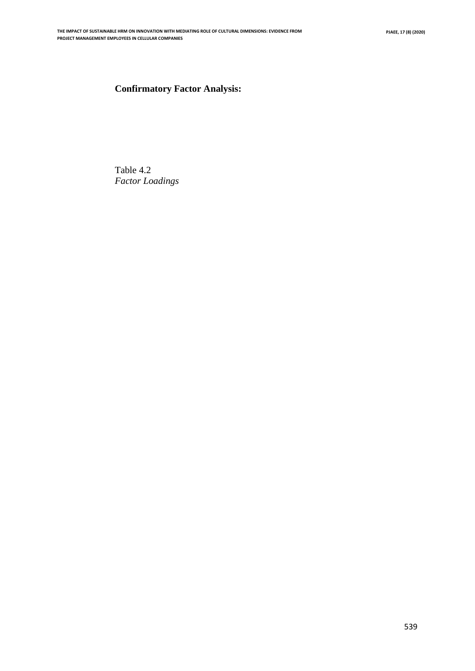# **Confirmatory Factor Analysis:**

Table 4.2 *Factor Loadings*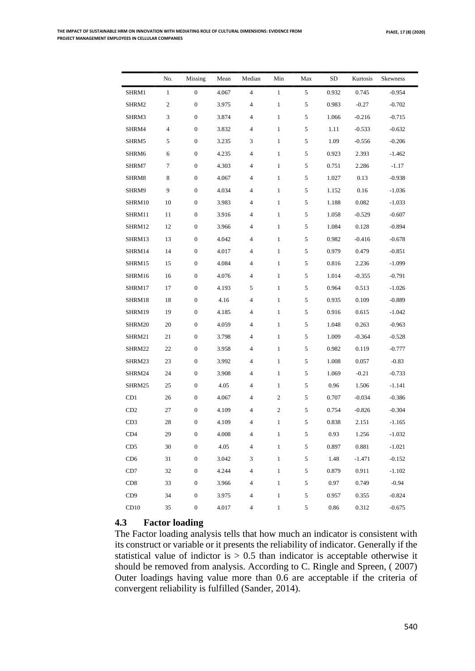|                 | No.              | Missing          | Mean  | Median         | Min          | Max | ${\rm SD}$ | Kurtosis | Skewness |
|-----------------|------------------|------------------|-------|----------------|--------------|-----|------------|----------|----------|
| SHRM1           | $\mathbf{1}$     | $\boldsymbol{0}$ | 4.067 | $\overline{4}$ | $\mathbf{1}$ | 5   | 0.932      | 0.745    | $-0.954$ |
| SHRM2           | $\boldsymbol{2}$ | $\boldsymbol{0}$ | 3.975 | $\overline{4}$ | $\mathbf{1}$ | 5   | 0.983      | $-0.27$  | $-0.702$ |
| SHRM3           | 3                | $\boldsymbol{0}$ | 3.874 | 4              | $\mathbf{1}$ | 5   | 1.066      | $-0.216$ | $-0.715$ |
| SHRM4           | 4                | $\boldsymbol{0}$ | 3.832 | 4              | $\mathbf{1}$ | 5   | 1.11       | $-0.533$ | $-0.632$ |
| SHRM5           | 5                | $\boldsymbol{0}$ | 3.235 | 3              | $\mathbf{1}$ | 5   | 1.09       | $-0.556$ | $-0.206$ |
| SHRM6           | 6                | $\boldsymbol{0}$ | 4.235 | $\overline{4}$ | $\mathbf{1}$ | 5   | 0.923      | 2.393    | $-1.462$ |
| SHRM7           | 7                | $\boldsymbol{0}$ | 4.303 | 4              | $\mathbf{1}$ | 5   | 0.751      | 2.286    | $-1.17$  |
| SHRM8           | 8                | $\boldsymbol{0}$ | 4.067 | $\overline{4}$ | $\mathbf{1}$ | 5   | 1.027      | 0.13     | $-0.938$ |
| SHRM9           | 9                | $\boldsymbol{0}$ | 4.034 | 4              | $\mathbf{1}$ | 5   | 1.152      | 0.16     | $-1.036$ |
| SHRM10          | 10               | $\boldsymbol{0}$ | 3.983 | $\overline{4}$ | $\mathbf{1}$ | 5   | 1.188      | 0.082    | $-1.033$ |
| SHRM11          | 11               | $\boldsymbol{0}$ | 3.916 | $\overline{4}$ | $\mathbf{1}$ | 5   | 1.058      | $-0.529$ | $-0.607$ |
| SHRM12          | 12               | $\boldsymbol{0}$ | 3.966 | 4              | $\mathbf{1}$ | 5   | 1.084      | 0.128    | $-0.894$ |
| SHRM13          | 13               | $\boldsymbol{0}$ | 4.042 | $\overline{4}$ | $\mathbf{1}$ | 5   | 0.982      | $-0.416$ | $-0.678$ |
| SHRM14          | 14               | $\boldsymbol{0}$ | 4.017 | 4              | $\mathbf{1}$ | 5   | 0.979      | 0.479    | $-0.851$ |
| SHRM15          | 15               | $\boldsymbol{0}$ | 4.084 | $\overline{4}$ | $\mathbf{1}$ | 5   | 0.816      | 2.236    | $-1.099$ |
| SHRM16          | 16               | $\boldsymbol{0}$ | 4.076 | 4              | $\mathbf{1}$ | 5   | 1.014      | $-0.355$ | $-0.791$ |
| SHRM17          | 17               | $\boldsymbol{0}$ | 4.193 | 5              | $\mathbf{1}$ | 5   | 0.964      | 0.513    | $-1.026$ |
| SHRM18          | 18               | $\boldsymbol{0}$ | 4.16  | $\overline{4}$ | $\mathbf{1}$ | 5   | 0.935      | 0.109    | $-0.889$ |
| SHRM19          | 19               | $\boldsymbol{0}$ | 4.185 | 4              | $\mathbf{1}$ | 5   | 0.916      | 0.615    | $-1.042$ |
| SHRM20          | 20               | $\boldsymbol{0}$ | 4.059 | $\overline{4}$ | $\mathbf{1}$ | 5   | 1.048      | 0.263    | $-0.963$ |
| SHRM21          | 21               | $\boldsymbol{0}$ | 3.798 | $\overline{4}$ | $\mathbf{1}$ | 5   | 1.009      | $-0.364$ | $-0.528$ |
| SHRM22          | 22               | $\boldsymbol{0}$ | 3.958 | 4              | $\mathbf{1}$ | 5   | 0.982      | 0.119    | $-0.777$ |
| SHRM23          | 23               | $\boldsymbol{0}$ | 3.992 | 4              | $\mathbf{1}$ | 5   | 1.008      | 0.057    | $-0.83$  |
| SHRM24          | 24               | $\boldsymbol{0}$ | 3.908 | $\overline{4}$ | $\mathbf{1}$ | 5   | 1.069      | $-0.21$  | $-0.733$ |
| SHRM25          | 25               | $\boldsymbol{0}$ | 4.05  | $\overline{4}$ | $\mathbf{1}$ | 5   | 0.96       | 1.506    | $-1.141$ |
| CD1             | 26               | $\boldsymbol{0}$ | 4.067 | 4              | 2            | 5   | 0.707      | $-0.034$ | $-0.386$ |
| CD2             | 27               | $\boldsymbol{0}$ | 4.109 | 4              | 2            | 5   | 0.754      | $-0.826$ | $-0.304$ |
| CD3             | 28               | $\boldsymbol{0}$ | 4.109 | $\overline{4}$ | 1            | 5   | 0.838      | 2.151    | $-1.165$ |
| CD4             | $29\,$           | $\boldsymbol{0}$ | 4.008 | $\overline{4}$ |              | 5   | 0.93       | 1.256    | $-1.032$ |
| CD <sub>5</sub> | 30               | $\boldsymbol{0}$ | 4.05  | $\overline{4}$ | $\mathbf{1}$ | 5   | 0.897      | 0.881    | $-1.021$ |
| CD6             | 31               | $\boldsymbol{0}$ | 3.042 | 3              | $\mathbf{1}$ | 5   | 1.48       | $-1.471$ | $-0.152$ |
| CD7             | 32               | $\boldsymbol{0}$ | 4.244 | $\overline{4}$ | $\mathbf{1}$ | 5   | 0.879      | 0.911    | $-1.102$ |
| CD8             | 33               | $\boldsymbol{0}$ | 3.966 | $\overline{4}$ | $\mathbf{1}$ | 5   | 0.97       | 0.749    | $-0.94$  |
| CD <sub>9</sub> | 34               | $\boldsymbol{0}$ | 3.975 | 4              | $\mathbf{1}$ | 5   | 0.957      | 0.355    | $-0.824$ |
| CD10            | 35               | $\boldsymbol{0}$ | 4.017 | $\overline{4}$ | $\mathbf{1}$ | 5   | $\rm 0.86$ | 0.312    | $-0.675$ |

### **4.3 Factor loading**

The Factor loading analysis tells that how much an indicator is consistent with its construct or variable or it presents the reliability of indicator. Generally if the statistical value of indictor is  $> 0.5$  than indicator is acceptable otherwise it should be removed from analysis. According to C. Ringle and Spreen, ( 2007) Outer loadings having value more than 0.6 are acceptable if the criteria of convergent reliability is fulfilled (Sander, 2014).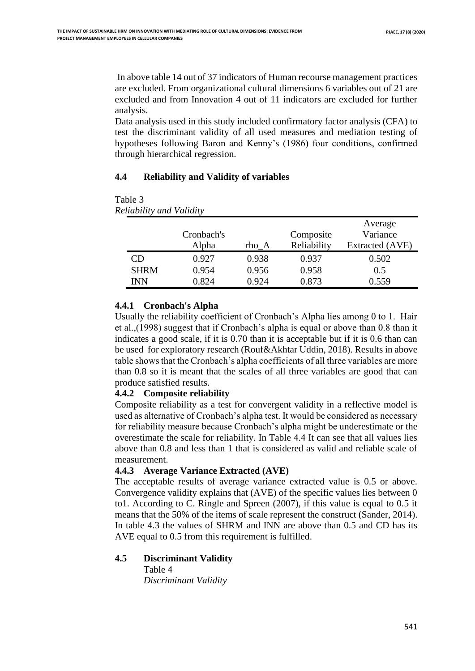In above table 14 out of 37 indicators of Human recourse management practices are excluded. From organizational cultural dimensions 6 variables out of 21 are excluded and from Innovation 4 out of 11 indicators are excluded for further analysis.

Data analysis used in this study included confirmatory factor analysis (CFA) to test the discriminant validity of all used measures and mediation testing of hypotheses following Baron and Kenny's (1986) four conditions, confirmed through hierarchical regression.

### **4.4 Reliability and Validity of variables**

Table 3

*Reliability and Validity*

|             |                     |       |                          | Average                     |
|-------------|---------------------|-------|--------------------------|-----------------------------|
|             | Cronbach's<br>Alpha | rho A | Composite<br>Reliability | Variance<br>Extracted (AVE) |
| CD          | 0.927               | 0.938 | 0.937                    | 0.502                       |
| <b>SHRM</b> | 0.954               | 0.956 | 0.958                    | 0.5                         |
| INN         | 0.824               | 0.924 | 0.873                    | 0.559                       |

## **4.4.1 Cronbach's Alpha**

Usually the reliability coefficient of Cronbach's Alpha lies among 0 to 1. Hair et al.,(1998) suggest that if Cronbach's alpha is equal or above than 0.8 than it indicates a good scale, if it is 0.70 than it is acceptable but if it is 0.6 than can be used for exploratory research (Rouf&Akhtar Uddin, 2018). Results in above table shows that the Cronbach's alpha coefficients of all three variables are more than 0.8 so it is meant that the scales of all three variables are good that can produce satisfied results.

### **4.4.2 Composite reliability**

Composite reliability as a test for convergent validity in a reflective model is used as alternative of Cronbach's alpha test. It would be considered as necessary for reliability measure because Cronbach's alpha might be underestimate or the overestimate the scale for reliability. In Table 4.4 It can see that all values lies above than 0.8 and less than 1 that is considered as valid and reliable scale of measurement.

### **4.4.3 Average Variance Extracted (AVE)**

The acceptable results of average variance extracted value is 0.5 or above. Convergence validity explains that (AVE) of the specific values lies between 0 to1. According to C. Ringle and Spreen (2007), if this value is equal to 0.5 it means that the 50% of the items of scale represent the construct (Sander, 2014). In table 4.3 the values of SHRM and INN are above than 0.5 and CD has its AVE equal to 0.5 from this requirement is fulfilled.

# **4.5 Discriminant Validity**

Table 4 *Discriminant Validity*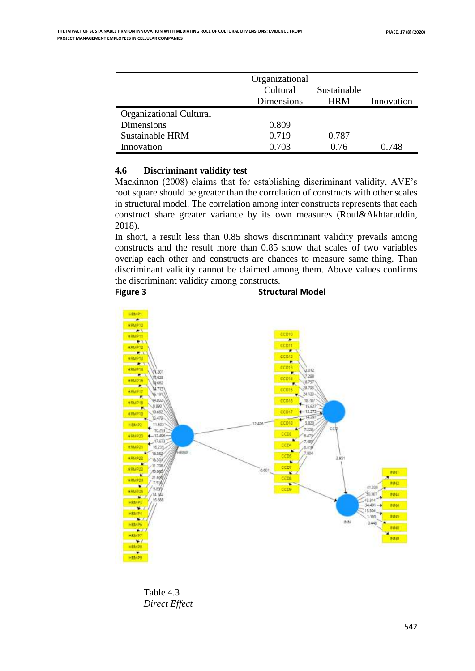|                                | Organizational<br>Cultural<br>Dimensions | Sustainable<br><b>HRM</b> | Innovation |
|--------------------------------|------------------------------------------|---------------------------|------------|
| <b>Organizational Cultural</b> |                                          |                           |            |
| <b>Dimensions</b>              | 0.809                                    |                           |            |
| Sustainable HRM                | 0.719                                    | 0.787                     |            |
| Innovation                     | 0.703                                    | 0.76                      | 0.748      |

# **4.6 Discriminant validity test**

Mackinnon (2008) claims that for establishing discriminant validity, AVE's root square should be greater than the correlation of constructs with other scales in structural model. The correlation among inter constructs represents that each construct share greater variance by its own measures (Rouf&Akhtaruddin, 2018).

In short, a result less than 0.85 shows discriminant validity prevails among constructs and the result more than 0.85 show that scales of two variables overlap each other and constructs are chances to measure same thing. Than discriminant validity cannot be claimed among them. Above values confirms the discriminant validity among constructs.

### **Figure 3 Structural Model**



Table 4.3 *Direct Effect*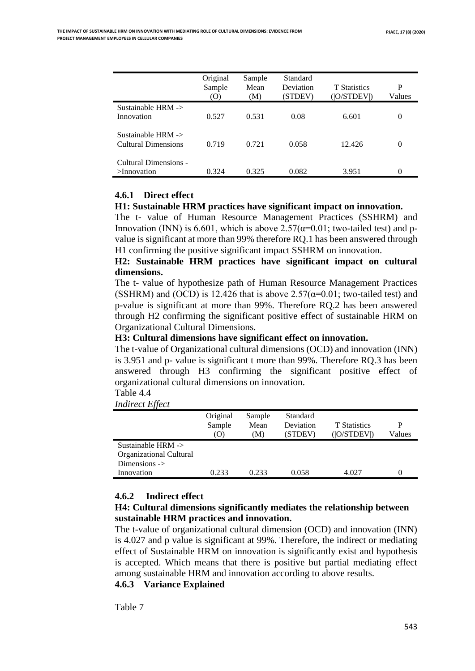|                                                      | Original<br>Sample<br>(0) | Sample<br>Mean<br>(M) | Standard<br>Deviation<br>(STDEV) | <b>T</b> Statistics<br>( O/STDEV ) | P<br>Values |
|------------------------------------------------------|---------------------------|-----------------------|----------------------------------|------------------------------------|-------------|
| Sustainable $HRM \rightarrow$<br>Innovation          | 0.527                     | 0.531                 | 0.08                             | 6.601                              | 0           |
| Sustainable $HRM \rightarrow$<br>Cultural Dimensions | 0.719                     | 0.721                 | 0.058                            | 12.426                             | $\theta$    |
| Cultural Dimensions -<br>> Innovation                | 0.324                     | 0.325                 | 0.082                            | 3.951                              | $\theta$    |

# **4.6.1 Direct effect**

### **H1: Sustainable HRM practices have significant impact on innovation.**

The t- value of Human Resource Management Practices (SSHRM) and Innovation (INN) is 6.601, which is above  $2.57(\alpha=0.01$ ; two-tailed test) and pvalue is significant at more than 99% therefore RQ.1 has been answered through H1 confirming the positive significant impact SSHRM on innovation.

### **H2: Sustainable HRM practices have significant impact on cultural dimensions.**

The t- value of hypothesize path of Human Resource Management Practices (SSHRM) and (OCD) is 12.426 that is above  $2.57(\alpha=0.01;$  two-tailed test) and p-value is significant at more than 99%. Therefore RQ.2 has been answered through H2 confirming the significant positive effect of sustainable HRM on Organizational Cultural Dimensions.

#### **H3: Cultural dimensions have significant effect on innovation.**

The t-value of Organizational cultural dimensions (OCD) and innovation (INN) is 3.951 and p- value is significant t more than 99%. Therefore RQ.3 has been answered through H3 confirming the significant positive effect of organizational cultural dimensions on innovation.

# Table 4.4

### *Indirect Effect*

|                               | Original | Sample | Standard  |                     |        |
|-------------------------------|----------|--------|-----------|---------------------|--------|
|                               | Sample   | Mean   | Deviation | <b>T</b> Statistics | P      |
|                               | (())     | (M)    | (STDEV)   | ( O/STDEV )         | Values |
| Sustainable $HRM \rightarrow$ |          |        |           |                     |        |
| Organizational Cultural       |          |        |           |                     |        |
| Dimensions $\rightarrow$      |          |        |           |                     |        |
| Innovation                    | 0.233    | 0.233  | 0.058     | 4.027               | 0      |

### **4.6.2 Indirect effect**

### **H4: Cultural dimensions significantly mediates the relationship between sustainable HRM practices and innovation.**

The t-value of organizational cultural dimension (OCD) and innovation (INN) is 4.027 and p value is significant at 99%. Therefore, the indirect or mediating effect of Sustainable HRM on innovation is significantly exist and hypothesis is accepted. Which means that there is positive but partial mediating effect among sustainable HRM and innovation according to above results.

#### **4.6.3 Variance Explained**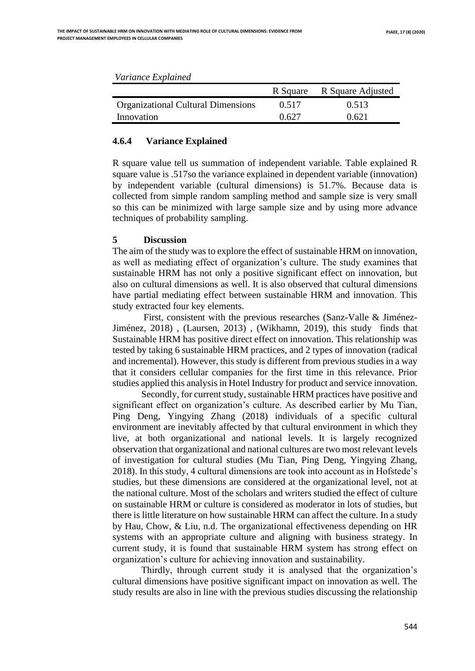|                                           |       | R Square R Square Adjusted |
|-------------------------------------------|-------|----------------------------|
| <b>Organizational Cultural Dimensions</b> | 0.517 | 0.513                      |
| Innovation                                | በ 627 | 0.621                      |

#### *Variance Explained*

#### **4.6.4 Variance Explained**

R square value tell us summation of independent variable. Table explained R square value is .517so the variance explained in dependent variable (innovation) by independent variable (cultural dimensions) is 51.7%. Because data is collected from simple random sampling method and sample size is very small so this can be minimized with large sample size and by using more advance techniques of probability sampling.

### **5 Discussion**

The aim of the study was to explore the effect of sustainable HRM on innovation, as well as mediating effect of organization's culture. The study examines that sustainable HRM has not only a positive significant effect on innovation, but also on cultural dimensions as well. It is also observed that cultural dimensions have partial mediating effect between sustainable HRM and innovation. This study extracted four key elements.

First, consistent with the previous researches (Sanz-Valle & Jiménez-Jiménez, 2018) , (Laursen, 2013) , (Wikhamn, 2019), this study finds that Sustainable HRM has positive direct effect on innovation. This relationship was tested by taking 6 sustainable HRM practices, and 2 types of innovation (radical and incremental). However, this study is different from previous studies in a way that it considers cellular companies for the first time in this relevance. Prior studies applied this analysis in Hotel Industry for product and service innovation.

Secondly, for current study, sustainable HRM practices have positive and significant effect on organization's culture. As described earlier by Mu Tian, Ping Deng, Yingying Zhang (2018) individuals of a specific cultural environment are inevitably affected by that cultural environment in which they live, at both organizational and national levels. It is largely recognized observation that organizational and national cultures are two most relevant levels of investigation for cultural studies (Mu Tian, Ping Deng, Yingying Zhang, 2018). In this study, 4 cultural dimensions are took into account as in Hofstede's studies, but these dimensions are considered at the organizational level, not at the national culture. Most of the scholars and writers studied the effect of culture on sustainable HRM or culture is considered as moderator in lots of studies, but there is little literature on how sustainable HRM can affect the culture. In a study by Hau, Chow, & Liu, n.d. The organizational effectiveness depending on HR systems with an appropriate culture and aligning with business strategy. In current study, it is found that sustainable HRM system has strong effect on organization's culture for achieving innovation and sustainability.

Thirdly, through current study it is analysed that the organization's cultural dimensions have positive significant impact on innovation as well. The study results are also in line with the previous studies discussing the relationship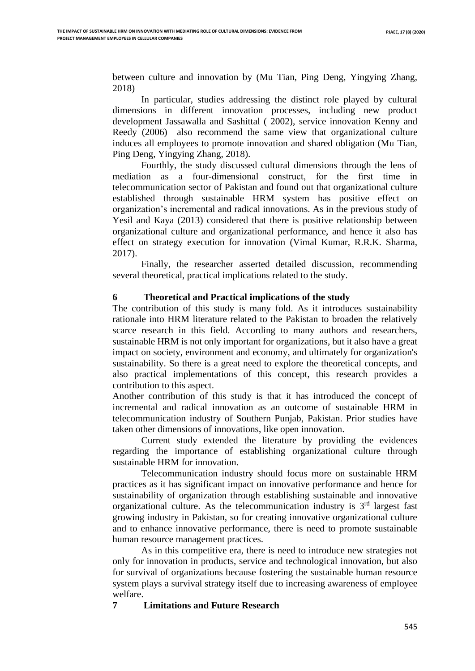between culture and innovation by (Mu Tian, Ping Deng, Yingying Zhang, 2018)

In particular, studies addressing the distinct role played by cultural dimensions in different innovation processes, including new product development Jassawalla and Sashittal ( 2002), service innovation Kenny and Reedy (2006) also recommend the same view that organizational culture induces all employees to promote innovation and shared obligation (Mu Tian, Ping Deng, Yingying Zhang, 2018).

Fourthly, the study discussed cultural dimensions through the lens of mediation as a four-dimensional construct, for the first time in telecommunication sector of Pakistan and found out that organizational culture established through sustainable HRM system has positive effect on organization's incremental and radical innovations. As in the previous study of Yesil and Kaya (2013) considered that there is positive relationship between organizational culture and organizational performance, and hence it also has effect on strategy execution for innovation (Vimal Kumar, R.R.K. Sharma, 2017).

Finally, the researcher asserted detailed discussion, recommending several theoretical, practical implications related to the study.

## **6 Theoretical and Practical implications of the study**

The contribution of this study is many fold. As it introduces sustainability rationale into HRM literature related to the Pakistan to broaden the relatively scarce research in this field. According to many authors and researchers, sustainable HRM is not only important for organizations, but it also have a great impact on society, environment and economy, and ultimately for organization's sustainability. So there is a great need to explore the theoretical concepts, and also practical implementations of this concept, this research provides a contribution to this aspect.

Another contribution of this study is that it has introduced the concept of incremental and radical innovation as an outcome of sustainable HRM in telecommunication industry of Southern Punjab, Pakistan. Prior studies have taken other dimensions of innovations, like open innovation.

Current study extended the literature by providing the evidences regarding the importance of establishing organizational culture through sustainable HRM for innovation.

Telecommunication industry should focus more on sustainable HRM practices as it has significant impact on innovative performance and hence for sustainability of organization through establishing sustainable and innovative organizational culture. As the telecommunication industry is 3<sup>rd</sup> largest fast growing industry in Pakistan, so for creating innovative organizational culture and to enhance innovative performance, there is need to promote sustainable human resource management practices.

As in this competitive era, there is need to introduce new strategies not only for innovation in products, service and technological innovation, but also for survival of organizations because fostering the sustainable human resource system plays a survival strategy itself due to increasing awareness of employee welfare.

### **7 Limitations and Future Research**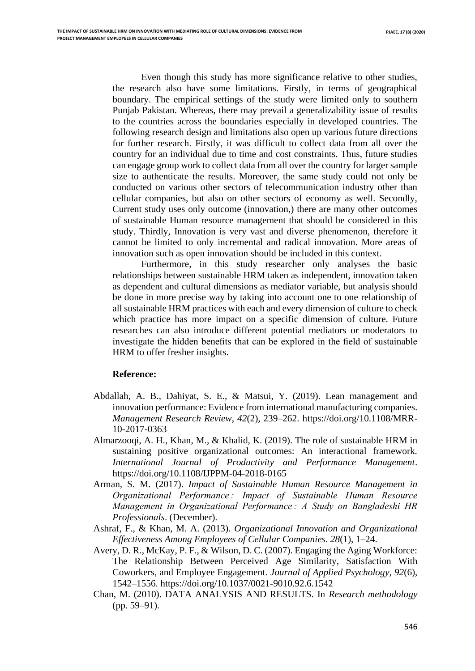Even though this study has more significance relative to other studies, the research also have some limitations. Firstly, in terms of geographical boundary. The empirical settings of the study were limited only to southern Punjab Pakistan. Whereas, there may prevail a generalizability issue of results to the countries across the boundaries especially in developed countries. The following research design and limitations also open up various future directions for further research. Firstly, it was difficult to collect data from all over the country for an individual due to time and cost constraints. Thus, future studies can engage group work to collect data from all over the country for larger sample size to authenticate the results. Moreover, the same study could not only be conducted on various other sectors of telecommunication industry other than cellular companies, but also on other sectors of economy as well. Secondly, Current study uses only outcome (innovation,) there are many other outcomes of sustainable Human resource management that should be considered in this study. Thirdly, Innovation is very vast and diverse phenomenon, therefore it cannot be limited to only incremental and radical innovation. More areas of innovation such as open innovation should be included in this context.

Furthermore, in this study researcher only analyses the basic relationships between sustainable HRM taken as independent, innovation taken as dependent and cultural dimensions as mediator variable, but analysis should be done in more precise way by taking into account one to one relationship of all sustainable HRM practices with each and every dimension of culture to check which practice has more impact on a specific dimension of culture. Future researches can also introduce different potential mediators or moderators to investigate the hidden benefits that can be explored in the field of sustainable HRM to offer fresher insights.

#### **Reference:**

- Abdallah, A. B., Dahiyat, S. E., & Matsui, Y. (2019). Lean management and innovation performance: Evidence from international manufacturing companies. *Management Research Review*, *42*(2), 239–262. https://doi.org/10.1108/MRR-10-2017-0363
- Almarzooqi, A. H., Khan, M., & Khalid, K. (2019). The role of sustainable HRM in sustaining positive organizational outcomes: An interactional framework. *International Journal of Productivity and Performance Management*. https://doi.org/10.1108/IJPPM-04-2018-0165
- Arman, S. M. (2017). *Impact of Sustainable Human Resource Management in Organizational Performance : Impact of Sustainable Human Resource Management in Organizational Performance : A Study on Bangladeshi HR Professionals*. (December).
- Ashraf, F., & Khan, M. A. (2013). *Organizational Innovation and Organizational Effectiveness Among Employees of Cellular Companies*. *28*(1), 1–24.
- Avery, D. R., McKay, P. F., & Wilson, D. C. (2007). Engaging the Aging Workforce: The Relationship Between Perceived Age Similarity, Satisfaction With Coworkers, and Employee Engagement. *Journal of Applied Psychology*, *92*(6), 1542–1556. https://doi.org/10.1037/0021-9010.92.6.1542
- Chan, M. (2010). DATA ANALYSIS AND RESULTS. In *Research methodology* (pp. 59–91).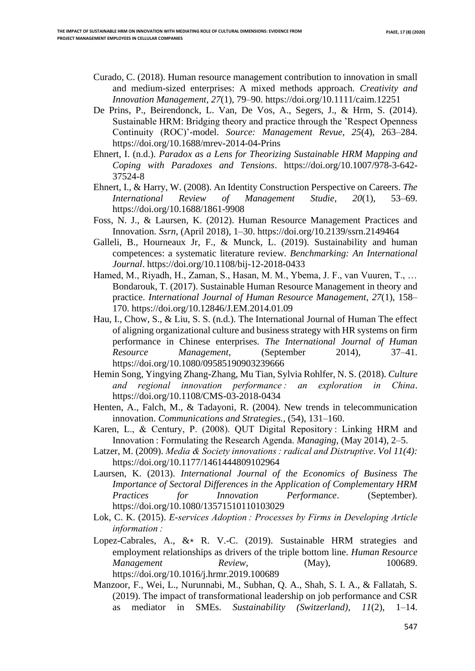- Curado, C. (2018). Human resource management contribution to innovation in small and medium-sized enterprises: A mixed methods approach. *Creativity and Innovation Management*, *27*(1), 79–90. https://doi.org/10.1111/caim.12251
- De Prins, P., Beirendonck, L. Van, De Vos, A., Segers, J., & Hrm, S. (2014). Sustainable HRM: Bridging theory and practice through the 'Respect Openness Continuity (ROC)'-model. *Source: Management Revue*, *25*(4), 263–284. https://doi.org/10.1688/mrev-2014-04-Prins
- Ehnert, I. (n.d.). *Paradox as a Lens for Theorizing Sustainable HRM Mapping and Coping with Paradoxes and Tensions*. https://doi.org/10.1007/978-3-642- 37524-8
- Ehnert, I., & Harry, W. (2008). An Identity Construction Perspective on Careers. *The International Review of Management Studie*, *20*(1), 53–69. https://doi.org/10.1688/1861-9908
- Foss, N. J., & Laursen, K. (2012). Human Resource Management Practices and Innovation. *Ssrn*, (April 2018), 1–30. https://doi.org/10.2139/ssrn.2149464
- Galleli, B., Hourneaux Jr, F., & Munck, L. (2019). Sustainability and human competences: a systematic literature review. *Benchmarking: An International Journal*. https://doi.org/10.1108/bij-12-2018-0433
- Hamed, M., Riyadh, H., Zaman, S., Hasan, M. M., Ybema, J. F., van Vuuren, T., … Bondarouk, T. (2017). Sustainable Human Resource Management in theory and practice. *International Journal of Human Resource Management*, *27*(1), 158– 170. https://doi.org/10.12846/J.EM.2014.01.09
- Hau, I., Chow, S., & Liu, S. S. (n.d.). The International Journal of Human The effect of aligning organizational culture and business strategy with HR systems on firm performance in Chinese enterprises. *The International Journal of Human Resource Management*, (September 2014), 37–41. https://doi.org/10.1080/09585190903239666
- Hemin Song, Yingying Zhang-Zhang, Mu Tian, Sylvia Rohlfer, N. S. (2018). *Culture and regional innovation performance : an exploration in China*. https://doi.org/10.1108/CMS-03-2018-0434
- Henten, A., Falch, M., & Tadayoni, R. (2004). New trends in telecommunication innovation. *Communications and Strategies.*, (54), 131–160.
- Karen, L., & Century, P. (2008). QUT Digital Repository : Linking HRM and Innovation : Formulating the Research Agenda. *Managing*, (May 2014), 2–5.
- Latzer, M. (2009). *Media & Society innovations : radical and Distruptive*. *Vol 11(4):* https://doi.org/10.1177/1461444809102964
- Laursen, K. (2013). *International Journal of the Economics of Business The Importance of Sectoral Differences in the Application of Complementary HRM Practices for Innovation Performance*. (September). https://doi.org/10.1080/13571510110103029
- Lok, C. K. (2015). *E-services Adoption : Processes by Firms in Developing Article information :*
- Lopez-Cabrales, A.,  $& * \mathbb{R}$ . V.-C. (2019). Sustainable HRM strategies and employment relationships as drivers of the triple bottom line. *Human Resource Management* **Review**, **(May)**, 100689. https://doi.org/10.1016/j.hrmr.2019.100689
- Manzoor, F., Wei, L., Nurunnabi, M., Subhan, Q. A., Shah, S. I. A., & Fallatah, S. (2019). The impact of transformational leadership on job performance and CSR as mediator in SMEs. *Sustainability (Switzerland)*, *11*(2), 1–14.